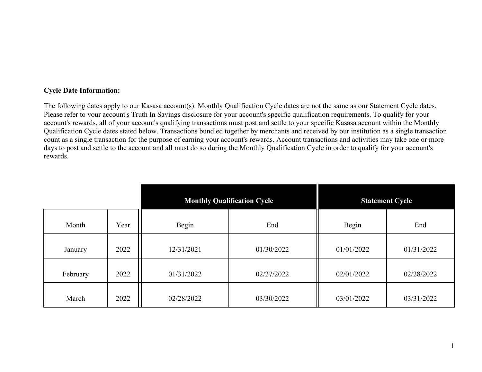## **Cycle Date Information:**

The following dates apply to our Kasasa account(s). Monthly Qualification Cycle dates are not the same as our Statement Cycle dates. Please refer to your account's Truth In Savings disclosure for your account's specific qualification requirements. To qualify for your account's rewards, all of your account's qualifying transactions must post and settle to your specific Kasasa account within the Monthly Qualification Cycle dates stated below. Transactions bundled together by merchants and received by our institution as a single transaction count as a single transaction for the purpose of earning your account's rewards. Account transactions and activities may take one or more days to post and settle to the account and all must do so during the Monthly Qualification Cycle in order to qualify for your account's rewards.

|          |      | <b>Monthly Qualification Cycle</b> |            | <b>Statement Cycle</b> |            |
|----------|------|------------------------------------|------------|------------------------|------------|
| Month    | Year | Begin                              | End        | Begin                  | End        |
| January  | 2022 | 12/31/2021                         | 01/30/2022 | 01/01/2022             | 01/31/2022 |
| February | 2022 | 01/31/2022                         | 02/27/2022 | 02/01/2022             | 02/28/2022 |
| March    | 2022 | 02/28/2022                         | 03/30/2022 | 03/01/2022             | 03/31/2022 |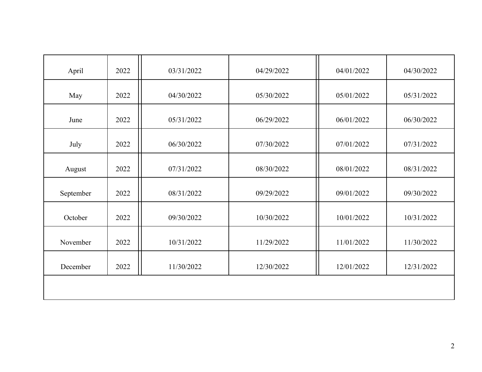| April     | 2022 | 03/31/2022 | 04/29/2022 | 04/01/2022 | 04/30/2022 |
|-----------|------|------------|------------|------------|------------|
| May       | 2022 | 04/30/2022 | 05/30/2022 | 05/01/2022 | 05/31/2022 |
| June      | 2022 | 05/31/2022 | 06/29/2022 | 06/01/2022 | 06/30/2022 |
| July      | 2022 | 06/30/2022 | 07/30/2022 | 07/01/2022 | 07/31/2022 |
| August    | 2022 | 07/31/2022 | 08/30/2022 | 08/01/2022 | 08/31/2022 |
| September | 2022 | 08/31/2022 | 09/29/2022 | 09/01/2022 | 09/30/2022 |
| October   | 2022 | 09/30/2022 | 10/30/2022 | 10/01/2022 | 10/31/2022 |
| November  | 2022 | 10/31/2022 | 11/29/2022 | 11/01/2022 | 11/30/2022 |
| December  | 2022 | 11/30/2022 | 12/30/2022 | 12/01/2022 | 12/31/2022 |
|           |      |            |            |            |            |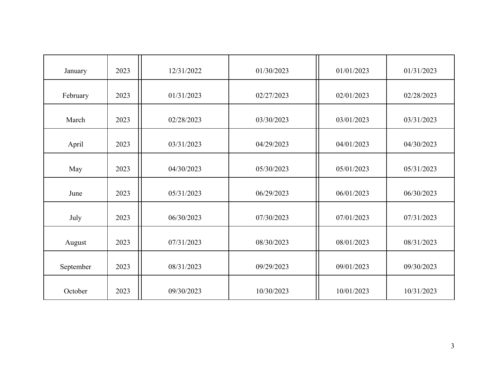| January   | 2023 | 12/31/2022 | 01/30/2023 | 01/01/2023 | 01/31/2023 |
|-----------|------|------------|------------|------------|------------|
| February  | 2023 | 01/31/2023 | 02/27/2023 | 02/01/2023 | 02/28/2023 |
| March     | 2023 | 02/28/2023 | 03/30/2023 | 03/01/2023 | 03/31/2023 |
| April     | 2023 | 03/31/2023 | 04/29/2023 | 04/01/2023 | 04/30/2023 |
| May       | 2023 | 04/30/2023 | 05/30/2023 | 05/01/2023 | 05/31/2023 |
| June      | 2023 | 05/31/2023 | 06/29/2023 | 06/01/2023 | 06/30/2023 |
| July      | 2023 | 06/30/2023 | 07/30/2023 | 07/01/2023 | 07/31/2023 |
| August    | 2023 | 07/31/2023 | 08/30/2023 | 08/01/2023 | 08/31/2023 |
| September | 2023 | 08/31/2023 | 09/29/2023 | 09/01/2023 | 09/30/2023 |
| October   | 2023 | 09/30/2023 | 10/30/2023 | 10/01/2023 | 10/31/2023 |